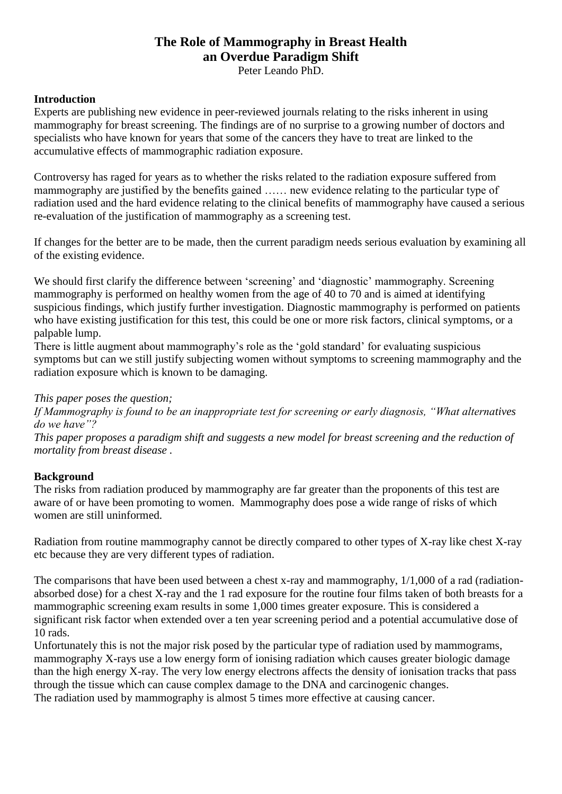# **The Role of Mammography in Breast Health an Overdue Paradigm Shift**

Peter Leando PhD.

## **Introduction**

Experts are publishing new evidence in peer-reviewed journals relating to the risks inherent in using mammography for breast screening. The findings are of no surprise to a growing number of doctors and specialists who have known for years that some of the cancers they have to treat are linked to the accumulative effects of mammographic radiation exposure.

Controversy has raged for years as to whether the risks related to the radiation exposure suffered from mammography are justified by the benefits gained …… new evidence relating to the particular type of radiation used and the hard evidence relating to the clinical benefits of mammography have caused a serious re-evaluation of the justification of mammography as a screening test.

If changes for the better are to be made, then the current paradigm needs serious evaluation by examining all of the existing evidence.

We should first clarify the difference between 'screening' and 'diagnostic' mammography. Screening mammography is performed on healthy women from the age of 40 to 70 and is aimed at identifying suspicious findings, which justify further investigation. Diagnostic mammography is performed on patients who have existing justification for this test, this could be one or more risk factors, clinical symptoms, or a palpable lump.

There is little augment about mammography's role as the 'gold standard' for evaluating suspicious symptoms but can we still justify subjecting women without symptoms to screening mammography and the radiation exposure which is known to be damaging.

*This paper poses the question;*

*If Mammography is found to be an inappropriate test for screening or early diagnosis, "What alternatives do we have"?*

*This paper proposes a paradigm shift and suggests a new model for breast screening and the reduction of mortality from breast disease .*

### **Background**

The risks from radiation produced by mammography are far greater than the proponents of this test are aware of or have been promoting to women. Mammography does pose a wide range of risks of which women are still uninformed.

Radiation from routine mammography cannot be directly compared to other types of X-ray like chest X-ray etc because they are very different types of radiation.

The comparisons that have been used between a chest x-ray and mammography, 1/1,000 of a rad (radiationabsorbed dose) for a chest X-ray and the 1 rad exposure for the routine four films taken of both breasts for a mammographic screening exam results in some 1,000 times greater exposure. This is considered a significant risk factor when extended over a ten year screening period and a potential accumulative dose of 10 rads.

Unfortunately this is not the major risk posed by the particular type of radiation used by mammograms, mammography X-rays use a low energy form of ionising radiation which causes greater biologic damage than the high energy X-ray. The very low energy electrons affects the density of ionisation tracks that pass through the tissue which can cause complex damage to the DNA and carcinogenic changes. The radiation used by mammography is almost 5 times more effective at causing cancer.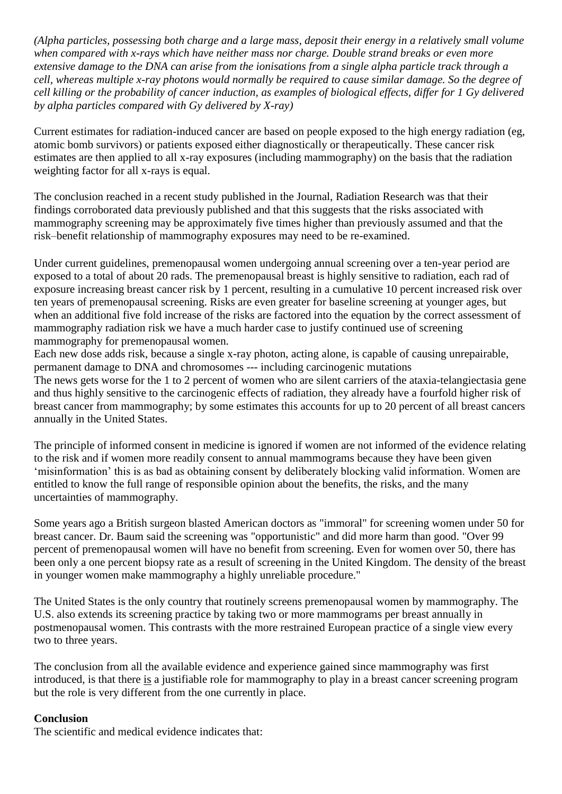*(Alpha particles, possessing both charge and a large mass, deposit their energy in a relatively small volume when compared with x-rays which have neither mass nor charge. Double strand breaks or even more extensive damage to the DNA can arise from the ionisations from a single alpha particle track through a cell, whereas multiple x-ray photons would normally be required to cause similar damage. So the degree of cell killing or the probability of cancer induction, as examples of biological effects, differ for 1 Gy delivered by alpha particles compared with Gy delivered by X-ray)*

Current estimates for radiation-induced cancer are based on people exposed to the high energy radiation (eg, atomic bomb survivors) or patients exposed either diagnostically or therapeutically. These cancer risk estimates are then applied to all x-ray exposures (including mammography) on the basis that the radiation weighting factor for all x-rays is equal.

The conclusion reached in a recent study published in the Journal, Radiation Research was that their findings corroborated data previously published and that this suggests that the risks associated with mammography screening may be approximately five times higher than previously assumed and that the risk–benefit relationship of mammography exposures may need to be re-examined.

Under current guidelines, premenopausal women undergoing annual screening over a ten-year period are exposed to a total of about 20 rads. The premenopausal breast is highly sensitive to radiation, each rad of exposure increasing breast cancer risk by 1 percent, resulting in a cumulative 10 percent increased risk over ten years of premenopausal screening. Risks are even greater for baseline screening at younger ages, but when an additional five fold increase of the risks are factored into the equation by the correct assessment of mammography radiation risk we have a much harder case to justify continued use of screening mammography for premenopausal women.

Each new dose adds risk, because a single x-ray photon, acting alone, is capable of causing unrepairable, permanent damage to DNA and chromosomes --- including carcinogenic mutations

The news gets worse for the 1 to 2 percent of women who are silent carriers of the ataxia-telangiectasia gene and thus highly sensitive to the carcinogenic effects of radiation, they already have a fourfold higher risk of breast cancer from mammography; by some estimates this accounts for up to 20 percent of all breast cancers annually in the United States.

The principle of informed consent in medicine is ignored if women are not informed of the evidence relating to the risk and if women more readily consent to annual mammograms because they have been given 'misinformation' this is as bad as obtaining consent by deliberately blocking valid information. Women are entitled to know the full range of responsible opinion about the benefits, the risks, and the many uncertainties of mammography.

Some years ago a British surgeon blasted American doctors as "immoral" for screening women under 50 for breast cancer. Dr. Baum said the screening was "opportunistic" and did more harm than good. "Over 99 percent of premenopausal women will have no benefit from screening. Even for women over 50, there has been only a one percent biopsy rate as a result of screening in the United Kingdom. The density of the breast in younger women make mammography a highly unreliable procedure."

The United States is the only country that routinely screens premenopausal women by mammography. The U.S. also extends its screening practice by taking two or more mammograms per breast annually in postmenopausal women. This contrasts with the more restrained European practice of a single view every two to three years.

The conclusion from all the available evidence and experience gained since mammography was first introduced, is that there is a justifiable role for mammography to play in a breast cancer screening program but the role is very different from the one currently in place.

### **Conclusion**

The scientific and medical evidence indicates that: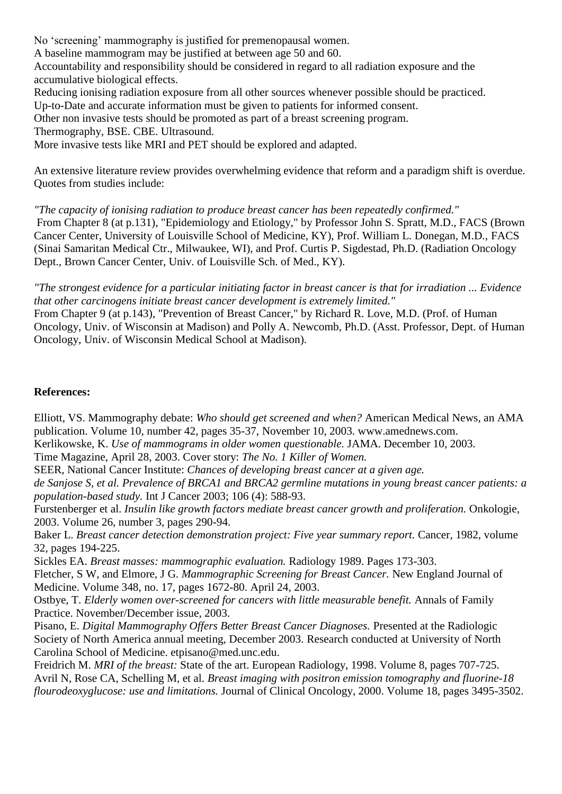No 'screening' mammography is justified for premenopausal women.

A baseline mammogram may be justified at between age 50 and 60.

Accountability and responsibility should be considered in regard to all radiation exposure and the accumulative biological effects.

Reducing ionising radiation exposure from all other sources whenever possible should be practiced.

Up-to-Date and accurate information must be given to patients for informed consent.

Other non invasive tests should be promoted as part of a breast screening program.

Thermography, BSE. CBE. Ultrasound.

More invasive tests like MRI and PET should be explored and adapted.

An extensive literature review provides overwhelming evidence that reform and a paradigm shift is overdue. Quotes from studies include:

*"The capacity of ionising radiation to produce breast cancer has been repeatedly confirmed."* 

From Chapter 8 (at p.131), "Epidemiology and Etiology," by Professor John S. Spratt, M.D., FACS (Brown Cancer Center, University of Louisville School of Medicine, KY), Prof. William L. Donegan, M.D., FACS (Sinai Samaritan Medical Ctr., Milwaukee, WI), and Prof. Curtis P. Sigdestad, Ph.D. (Radiation Oncology Dept., Brown Cancer Center, Univ. of Louisville Sch. of Med., KY).

*"The strongest evidence for a particular initiating factor in breast cancer is that for irradiation ... Evidence that other carcinogens initiate breast cancer development is extremely limited."* 

From Chapter 9 (at p.143), "Prevention of Breast Cancer," by Richard R. Love, M.D. (Prof. of Human Oncology, Univ. of Wisconsin at Madison) and Polly A. Newcomb, Ph.D. (Asst. Professor, Dept. of Human Oncology, Univ. of Wisconsin Medical School at Madison).

#### **References:**

Elliott, VS. Mammography debate: *Who should get screened and when?* American Medical News, an AMA publication. Volume 10, number 42, pages 35-37, November 10, 2003. www.amednews.com.

Kerlikowske, K. *Use of mammograms in older women questionable.* JAMA. December 10, 2003.

Time Magazine, April 28, 2003. Cover story: *The No. 1 Killer of Women.*

SEER, National Cancer Institute: *Chances of developing breast cancer at a given age.*

*de Sanjose S, et al. Prevalence of BRCA1 and BRCA2 germline mutations in young breast cancer patients: a population-based study.* Int J Cancer 2003; 106 (4): 588-93.

Furstenberger et al. *Insulin like growth factors mediate breast cancer growth and proliferation.* Onkologie, 2003. Volume 26, number 3, pages 290-94.

Baker L. *Breast cancer detection demonstration project: Five year summary report.* Cancer, 1982, volume 32, pages 194-225.

Sickles EA. *Breast masses: mammographic evaluation.* Radiology 1989. Pages 173-303.

Fletcher, S W, and Elmore, J G. *Mammographic Screening for Breast Cancer.* New England Journal of Medicine. Volume 348, no. 17, pages 1672-80. April 24, 2003.

Ostbye, T. *Elderly women over-screened for cancers with little measurable benefit.* Annals of Family Practice. November/December issue, 2003.

Pisano, E. *Digital Mammography Offers Better Breast Cancer Diagnoses.* Presented at the Radiologic Society of North America annual meeting, December 2003. Research conducted at University of North Carolina School of Medicine. etpisano@med.unc.edu.

Freidrich M. *MRI of the breast:* State of the art. European Radiology, 1998. Volume 8, pages 707-725. Avril N, Rose CA, Schelling M, et al. *Breast imaging with positron emission tomography and fluorine-18 flourodeoxyglucose: use and limitations.* Journal of Clinical Oncology, 2000. Volume 18, pages 3495-3502.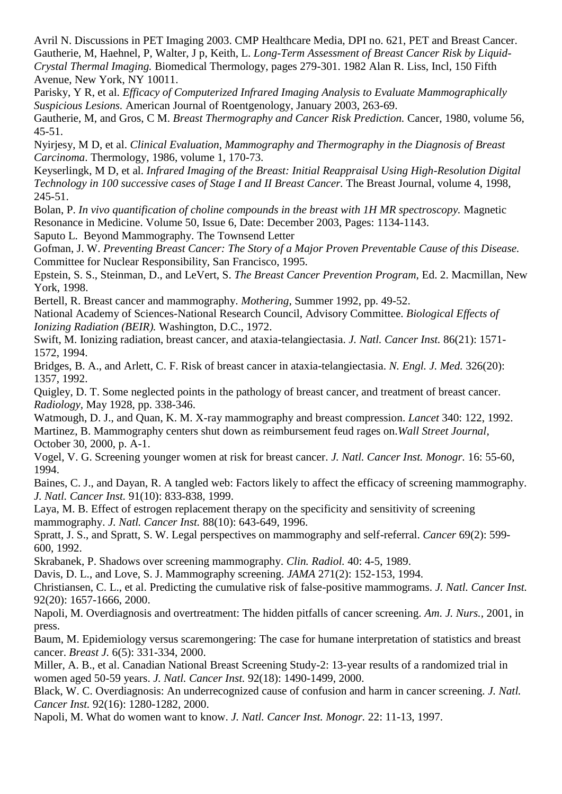Avril N. Discussions in PET Imaging 2003. CMP Healthcare Media, DPI no. 621, PET and Breast Cancer. Gautherie, M, Haehnel, P, Walter, J p, Keith, L. *Long-Term Assessment of Breast Cancer Risk by Liquid-Crystal Thermal Imaging.* Biomedical Thermology, pages 279-301. 1982 Alan R. Liss, Incl, 150 Fifth Avenue, New York, NY 10011.

Parisky, Y R, et al. *Efficacy of Computerized Infrared Imaging Analysis to Evaluate Mammographically Suspicious Lesions.* American Journal of Roentgenology, January 2003, 263-69.

Gautherie, M, and Gros, C M. *Breast Thermography and Cancer Risk Prediction.* Cancer, 1980, volume 56, 45-51.

Nyirjesy, M D, et al. *Clinical Evaluation, Mammography and Thermography in the Diagnosis of Breast Carcinoma*. Thermology, 1986, volume 1, 170-73.

Keyserlingk, M D, et al. *Infrared Imaging of the Breast: Initial Reappraisal Using High-Resolution Digital Technology in 100 successive cases of Stage I and II Breast Cancer.* The Breast Journal, volume 4, 1998, 245-51.

Bolan, P. *In vivo quantification of choline compounds in the breast with 1H MR spectroscopy.* Magnetic Resonance in Medicine. Volume 50, Issue 6, Date: December 2003, Pages: 1134-1143.

Saputo L. Beyond Mammography. The Townsend Letter

Gofman, J. W. *Preventing Breast Cancer: The Story of a Major Proven Preventable Cause of this Disease.*  Committee for Nuclear Responsibility, San Francisco, 1995.

Epstein, S. S., Steinman, D., and LeVert, S. *The Breast Cancer Prevention Program,* Ed. 2. Macmillan, New York, 1998.

Bertell, R. Breast cancer and mammography. *Mothering,* Summer 1992, pp. 49-52.

National Academy of Sciences-National Research Council, Advisory Committee. *Biological Effects of Ionizing Radiation (BEIR).* Washington, D.C., 1972.

Swift, M. Ionizing radiation, breast cancer, and ataxia-telangiectasia. *J. Natl. Cancer Inst.* 86(21): 1571- 1572, 1994.

Bridges, B. A., and Arlett, C. F. Risk of breast cancer in ataxia-telangiectasia. *N. Engl. J. Med.* 326(20): 1357, 1992.

Quigley, D. T. Some neglected points in the pathology of breast cancer, and treatment of breast cancer. *Radiology,* May 1928, pp. 338-346.

Watmough, D. J., and Quan, K. M. X-ray mammography and breast compression. *Lancet* 340: 122, 1992. Martinez, B. Mammography centers shut down as reimbursement feud rages on.*Wall Street Journal,*  October 30, 2000, p. A-1.

Vogel, V. G. Screening younger women at risk for breast cancer. *J. Natl. Cancer Inst. Monogr.* 16: 55-60, 1994.

Baines, C. J., and Dayan, R. A tangled web: Factors likely to affect the efficacy of screening mammography. *J. Natl. Cancer Inst.* 91(10): 833-838, 1999.

Laya, M. B. Effect of estrogen replacement therapy on the specificity and sensitivity of screening mammography. *J. Natl. Cancer Inst.* 88(10): 643-649, 1996.

Spratt, J. S., and Spratt, S. W. Legal perspectives on mammography and self-referral. *Cancer* 69(2): 599- 600, 1992.

Skrabanek, P. Shadows over screening mammography. *Clin. Radiol.* 40: 4-5, 1989.

Davis, D. L., and Love, S. J. Mammography screening. *JAMA* 271(2): 152-153, 1994.

Christiansen, C. L., et al. Predicting the cumulative risk of false-positive mammograms. *J. Natl. Cancer Inst.*  92(20): 1657-1666, 2000.

Napoli, M. Overdiagnosis and overtreatment: The hidden pitfalls of cancer screening. *Am. J. Nurs.,* 2001, in press.

Baum, M. Epidemiology versus scaremongering: The case for humane interpretation of statistics and breast cancer. *Breast J.* 6(5): 331-334, 2000.

Miller, A. B., et al. Canadian National Breast Screening Study-2: 13-year results of a randomized trial in women aged 50-59 years. *J. Natl. Cancer Inst.* 92(18): 1490-1499, 2000.

Black, W. C. Overdiagnosis: An underrecognized cause of confusion and harm in cancer screening. *J. Natl. Cancer Inst.* 92(16): 1280-1282, 2000.

Napoli, M. What do women want to know. *J. Natl. Cancer Inst. Monogr.* 22: 11-13, 1997.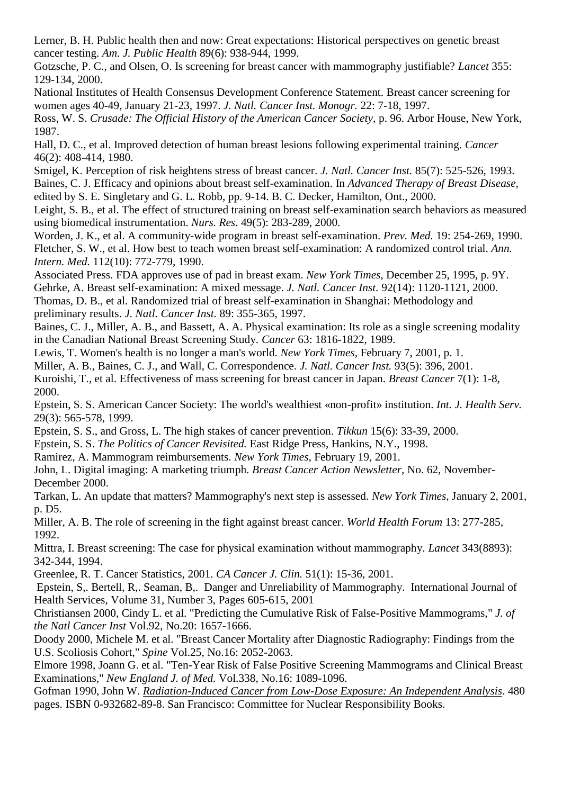Lerner, B. H. Public health then and now: Great expectations: Historical perspectives on genetic breast cancer testing. *Am. J. Public Health* 89(6): 938-944, 1999.

Gotzsche, P. C., and Olsen, O. Is screening for breast cancer with mammography justifiable? *Lancet* 355: 129-134, 2000.

National Institutes of Health Consensus Development Conference Statement. Breast cancer screening for women ages 40-49, January 21-23, 1997. *J. Natl. Cancer Inst. Monogr.* 22: 7-18, 1997.

Ross, W. S. *Crusade: The Official History of the American Cancer Society*, p. 96. Arbor House, New York, 1987.

Hall, D. C., et al. Improved detection of human breast lesions following experimental training. *Cancer*  46(2): 408-414, 1980.

Smigel, K. Perception of risk heightens stress of breast cancer. *J. Natl. Cancer Inst.* 85(7): 525-526, 1993. Baines, C. J. Efficacy and opinions about breast self-examination. In *Advanced Therapy of Breast Disease,*  edited by S. E. Singletary and G. L. Robb, pp. 9-14. B. C. Decker, Hamilton, Ont., 2000.

Leight, S. B., et al. The effect of structured training on breast self-examination search behaviors as measured using biomedical instrumentation. *Nurs. Res.* 49(5): 283-289, 2000.

Worden, J. K., et al. A community-wide program in breast self-examination. *Prev. Med.* 19: 254-269, 1990. Fletcher, S. W., et al. How best to teach women breast self-examination: A randomized control trial. *Ann. Intern. Med.* 112(10): 772-779, 1990.

Associated Press. FDA approves use of pad in breast exam. *New York Times,* December 25, 1995, p. 9Y. Gehrke, A. Breast self-examination: A mixed message. *J. Natl. Cancer Inst.* 92(14): 1120-1121, 2000.

Thomas, D. B., et al. Randomized trial of breast self-examination in Shanghai: Methodology and preliminary results. *J. Natl. Cancer Inst.* 89: 355-365, 1997.

Baines, C. J., Miller, A. B., and Bassett, A. A. Physical examination: Its role as a single screening modality in the Canadian National Breast Screening Study. *Cancer* 63: 1816-1822, 1989.

Lewis, T. Women's health is no longer a man's world. *New York Times,* February 7, 2001, p. 1.

Miller, A. B., Baines, C. J., and Wall, C. Correspondence. *J. Natl. Cancer Inst.* 93(5): 396, 2001.

Kuroishi, T., et al. Effectiveness of mass screening for breast cancer in Japan. *Breast Cancer* 7(1): 1-8, 2000.

Epstein, S. S. American Cancer Society: The world's wealthiest «non-profit» institution. *Int. J. Health Serv.*  29(3): 565-578, 1999.

Epstein, S. S., and Gross, L. The high stakes of cancer prevention. *Tikkun* 15(6): 33-39, 2000.

Epstein, S. S. *The Politics of Cancer Revisited.* East Ridge Press, Hankins, N.Y., 1998.

Ramirez, A. Mammogram reimbursements. *New York Times,* February 19, 2001.

John, L. Digital imaging: A marketing triumph. *Breast Cancer Action Newsletter,* No. 62, November-December 2000.

Tarkan, L. An update that matters? Mammography's next step is assessed. *New York Times,* January 2, 2001, p. D5.

Miller, A. B. The role of screening in the fight against breast cancer. *World Health Forum* 13: 277-285, 1992.

Mittra, I. Breast screening: The case for physical examination without mammography. *Lancet* 343(8893): 342-344, 1994.

Greenlee, R. T. Cancer Statistics, 2001. *CA Cancer J. Clin.* 51(1): 15-36, 2001.

Epstein, S,. Bertell, R,. Seaman, B,. Danger and Unreliability of Mammography. International Journal of Health Services, Volume 31, Number 3, Pages 605-615, 2001

Christiansen 2000, Cindy L. et al. "Predicting the Cumulative Risk of False-Positive Mammograms," *J. of the Natl Cancer Inst* Vol.92, No.20: 1657-1666.

Doody 2000, Michele M. et al. "Breast Cancer Mortality after Diagnostic Radiography: Findings from the U.S. Scoliosis Cohort," *Spine* Vol.25, No.16: 2052-2063.

Elmore 1998, Joann G. et al. "Ten-Year Risk of False Positive Screening Mammograms and Clinical Breast Examinations," *New England J. of Med.* Vol.338, No.16: 1089-1096.

Gofman 1990, John W. *[Radiation-Induced Cancer from Low-Dose Exposure: An Independent Analysis](http://www.ratical.org/radiation/CNR/RIC/)*. 480 pages. ISBN 0-932682-89-8. San Francisco: Committee for Nuclear Responsibility Books.